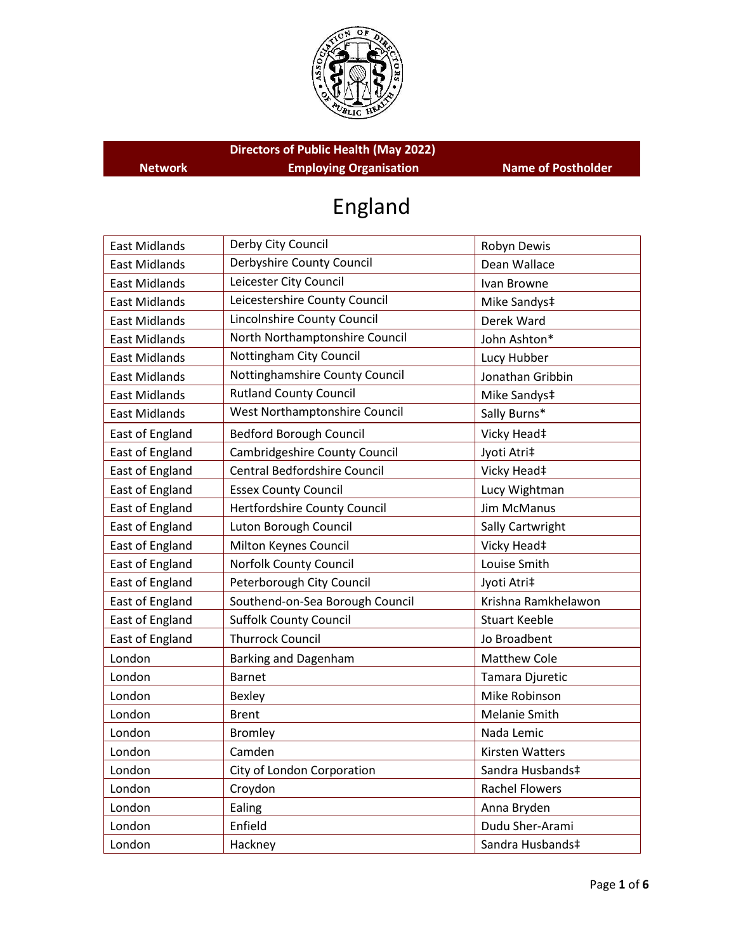

**Directors of Public Health (May 2022) Network Employing Organisation Name of Postholder**

# England

| <b>East Midlands</b> | Derby City Council              | Robyn Dewis            |
|----------------------|---------------------------------|------------------------|
| <b>East Midlands</b> | Derbyshire County Council       | Dean Wallace           |
| <b>East Midlands</b> | Leicester City Council          | Ivan Browne            |
| <b>East Midlands</b> | Leicestershire County Council   | Mike Sandys‡           |
| <b>East Midlands</b> | Lincolnshire County Council     | Derek Ward             |
| <b>East Midlands</b> | North Northamptonshire Council  | John Ashton*           |
| <b>East Midlands</b> | Nottingham City Council         | Lucy Hubber            |
| <b>East Midlands</b> | Nottinghamshire County Council  | Jonathan Gribbin       |
| <b>East Midlands</b> | <b>Rutland County Council</b>   | Mike Sandys‡           |
| <b>East Midlands</b> | West Northamptonshire Council   | Sally Burns*           |
| East of England      | <b>Bedford Borough Council</b>  | Vicky Head‡            |
| East of England      | Cambridgeshire County Council   | Jyoti Atri‡            |
| East of England      | Central Bedfordshire Council    | Vicky Head‡            |
| East of England      | <b>Essex County Council</b>     | Lucy Wightman          |
| East of England      | Hertfordshire County Council    | <b>Jim McManus</b>     |
| East of England      | Luton Borough Council           | Sally Cartwright       |
| East of England      | Milton Keynes Council           | Vicky Head‡            |
| East of England      | Norfolk County Council          | Louise Smith           |
| East of England      | Peterborough City Council       | Jyoti Atri‡            |
| East of England      | Southend-on-Sea Borough Council | Krishna Ramkhelawon    |
| East of England      | <b>Suffolk County Council</b>   | <b>Stuart Keeble</b>   |
| East of England      | <b>Thurrock Council</b>         | Jo Broadbent           |
| London               | Barking and Dagenham            | <b>Matthew Cole</b>    |
| London               | <b>Barnet</b>                   | Tamara Djuretic        |
| London               | Bexley                          | Mike Robinson          |
| London               | <b>Brent</b>                    | Melanie Smith          |
| London               | <b>Bromley</b>                  | Nada Lemic             |
| London               | Camden                          | <b>Kirsten Watters</b> |
| London               | City of London Corporation      | Sandra Husbands‡       |
| London               | Croydon                         | <b>Rachel Flowers</b>  |
| London               | Ealing                          | Anna Bryden            |
| London               | Enfield                         | Dudu Sher-Arami        |
| London               | Hackney                         | Sandra Husbands‡       |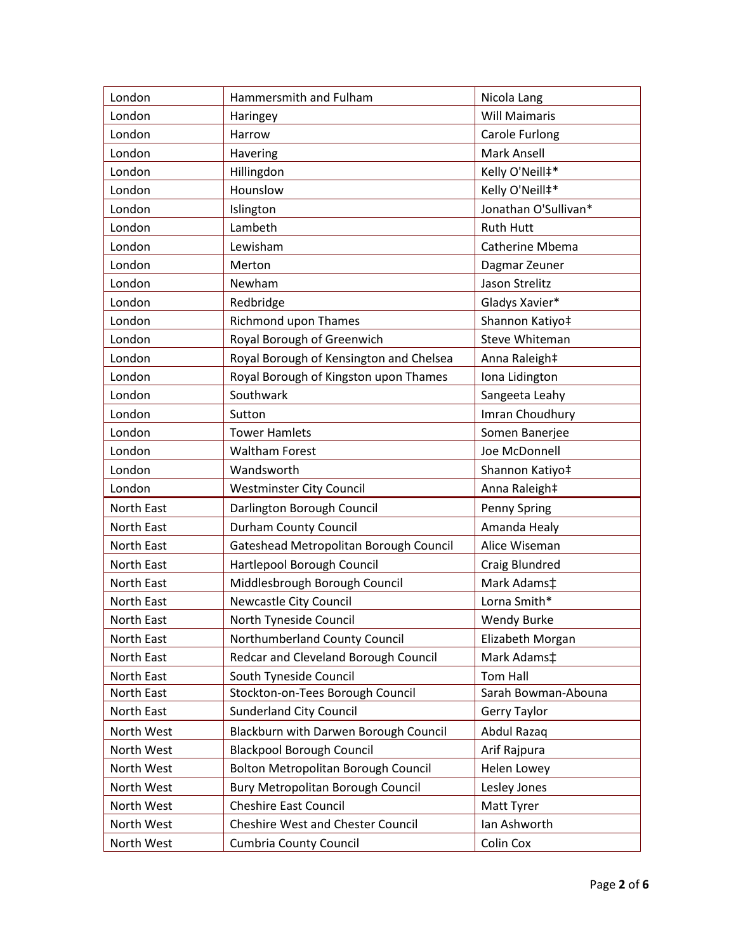| London            | Hammersmith and Fulham                     | Nicola Lang            |
|-------------------|--------------------------------------------|------------------------|
| London            | Haringey                                   | <b>Will Maimaris</b>   |
| London            | Harrow                                     | Carole Furlong         |
| London            | Havering                                   | <b>Mark Ansell</b>     |
| London            | Hillingdon                                 | Kelly O'Neill#*        |
| London            | Hounslow                                   | Kelly O'Neill#*        |
| London            | Islington                                  | Jonathan O'Sullivan*   |
| London            | Lambeth                                    | <b>Ruth Hutt</b>       |
| London            | Lewisham                                   | <b>Catherine Mbema</b> |
| London            | Merton                                     | Dagmar Zeuner          |
| London            | Newham                                     | Jason Strelitz         |
| London            | Redbridge                                  | Gladys Xavier*         |
| London            | Richmond upon Thames                       | Shannon Katiyo‡        |
| London            | Royal Borough of Greenwich                 | Steve Whiteman         |
| London            | Royal Borough of Kensington and Chelsea    | Anna Raleigh‡          |
| London            | Royal Borough of Kingston upon Thames      | Iona Lidington         |
| London            | Southwark                                  | Sangeeta Leahy         |
| London            | Sutton                                     | Imran Choudhury        |
| London            | <b>Tower Hamlets</b>                       | Somen Banerjee         |
| London            | <b>Waltham Forest</b>                      | Joe McDonnell          |
| London            | Wandsworth                                 | Shannon Katiyo‡        |
| London            | <b>Westminster City Council</b>            | Anna Raleigh‡          |
| North East        | Darlington Borough Council                 | <b>Penny Spring</b>    |
| North East        | Durham County Council                      | Amanda Healy           |
| <b>North East</b> | Gateshead Metropolitan Borough Council     | Alice Wiseman          |
| North East        | Hartlepool Borough Council                 | Craig Blundred         |
| North East        | Middlesbrough Borough Council              | Mark Adams‡            |
| North East        | Newcastle City Council                     | Lorna Smith*           |
| <b>North East</b> | North Tyneside Council                     | <b>Wendy Burke</b>     |
| North East        | Northumberland County Council              | Elizabeth Morgan       |
| North East        | Redcar and Cleveland Borough Council       | Mark Adams‡            |
| <b>North East</b> | South Tyneside Council                     | <b>Tom Hall</b>        |
| North East        | Stockton-on-Tees Borough Council           | Sarah Bowman-Abouna    |
| North East        | <b>Sunderland City Council</b>             | Gerry Taylor           |
| North West        | Blackburn with Darwen Borough Council      | Abdul Razaq            |
| North West        | <b>Blackpool Borough Council</b>           | Arif Rajpura           |
| North West        | <b>Bolton Metropolitan Borough Council</b> | Helen Lowey            |
| North West        | Bury Metropolitan Borough Council          | Lesley Jones           |
| North West        | <b>Cheshire East Council</b>               | Matt Tyrer             |
| North West        | <b>Cheshire West and Chester Council</b>   | Ian Ashworth           |
| North West        | <b>Cumbria County Council</b>              | Colin Cox              |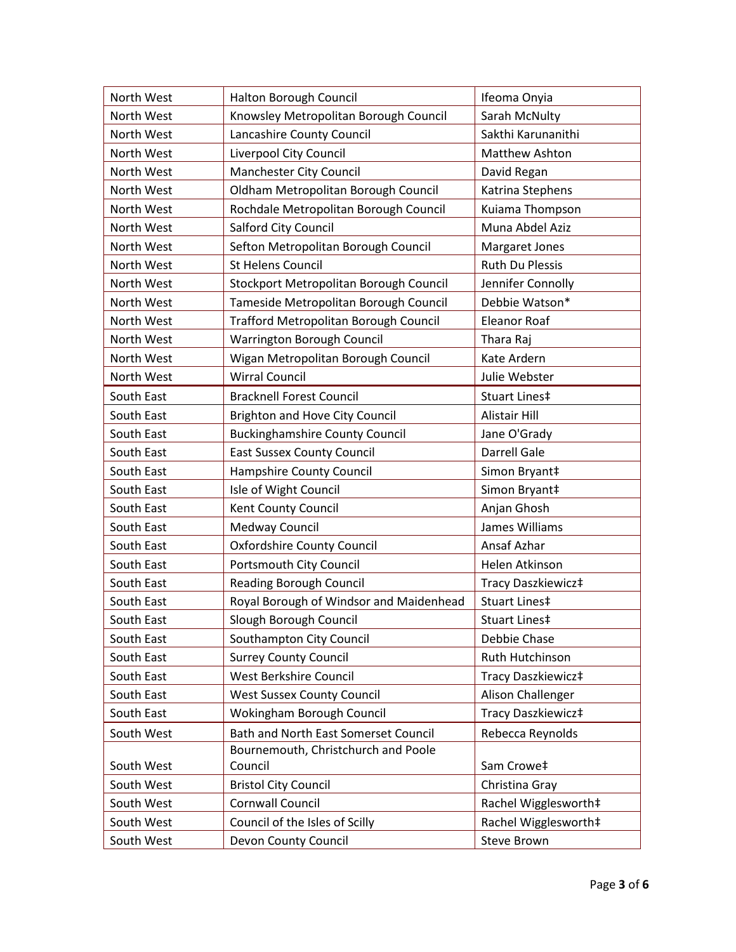| North West | Halton Borough Council                  | Ifeoma Onyia         |
|------------|-----------------------------------------|----------------------|
| North West | Knowsley Metropolitan Borough Council   | Sarah McNulty        |
| North West | Lancashire County Council               | Sakthi Karunanithi   |
| North West | Liverpool City Council                  | Matthew Ashton       |
| North West | Manchester City Council                 | David Regan          |
| North West | Oldham Metropolitan Borough Council     | Katrina Stephens     |
| North West | Rochdale Metropolitan Borough Council   | Kuiama Thompson      |
| North West | Salford City Council                    | Muna Abdel Aziz      |
| North West | Sefton Metropolitan Borough Council     | Margaret Jones       |
| North West | <b>St Helens Council</b>                | Ruth Du Plessis      |
| North West | Stockport Metropolitan Borough Council  | Jennifer Connolly    |
| North West | Tameside Metropolitan Borough Council   | Debbie Watson*       |
| North West | Trafford Metropolitan Borough Council   | <b>Eleanor Roaf</b>  |
| North West | Warrington Borough Council              | Thara Raj            |
| North West | Wigan Metropolitan Borough Council      | Kate Ardern          |
| North West | <b>Wirral Council</b>                   | Julie Webster        |
| South East | <b>Bracknell Forest Council</b>         | Stuart Lines‡        |
| South East | <b>Brighton and Hove City Council</b>   | Alistair Hill        |
| South East | <b>Buckinghamshire County Council</b>   | Jane O'Grady         |
| South East | <b>East Sussex County Council</b>       | Darrell Gale         |
| South East | Hampshire County Council                | Simon Bryant‡        |
| South East | Isle of Wight Council                   | Simon Bryant‡        |
| South East | Kent County Council                     | Anjan Ghosh          |
| South East | <b>Medway Council</b>                   | James Williams       |
| South East | <b>Oxfordshire County Council</b>       | Ansaf Azhar          |
| South East | <b>Portsmouth City Council</b>          | Helen Atkinson       |
| South East | <b>Reading Borough Council</b>          | Tracy Daszkiewicz‡   |
| South East | Royal Borough of Windsor and Maidenhead | Stuart Lines‡        |
| South East | Slough Borough Council                  | Stuart Lines‡        |
| South East | Southampton City Council                | Debbie Chase         |
| South East | <b>Surrey County Council</b>            | Ruth Hutchinson      |
| South East | West Berkshire Council                  | Tracy Daszkiewicz‡   |
| South East | <b>West Sussex County Council</b>       | Alison Challenger    |
| South East | Wokingham Borough Council               | Tracy Daszkiewicz‡   |
| South West | Bath and North East Somerset Council    | Rebecca Reynolds     |
|            | Bournemouth, Christchurch and Poole     |                      |
| South West | Council                                 | Sam Crowe‡           |
| South West | <b>Bristol City Council</b>             | Christina Gray       |
| South West | <b>Cornwall Council</b>                 | Rachel Wigglesworth‡ |
| South West | Council of the Isles of Scilly          | Rachel Wigglesworth‡ |
| South West | Devon County Council                    | Steve Brown          |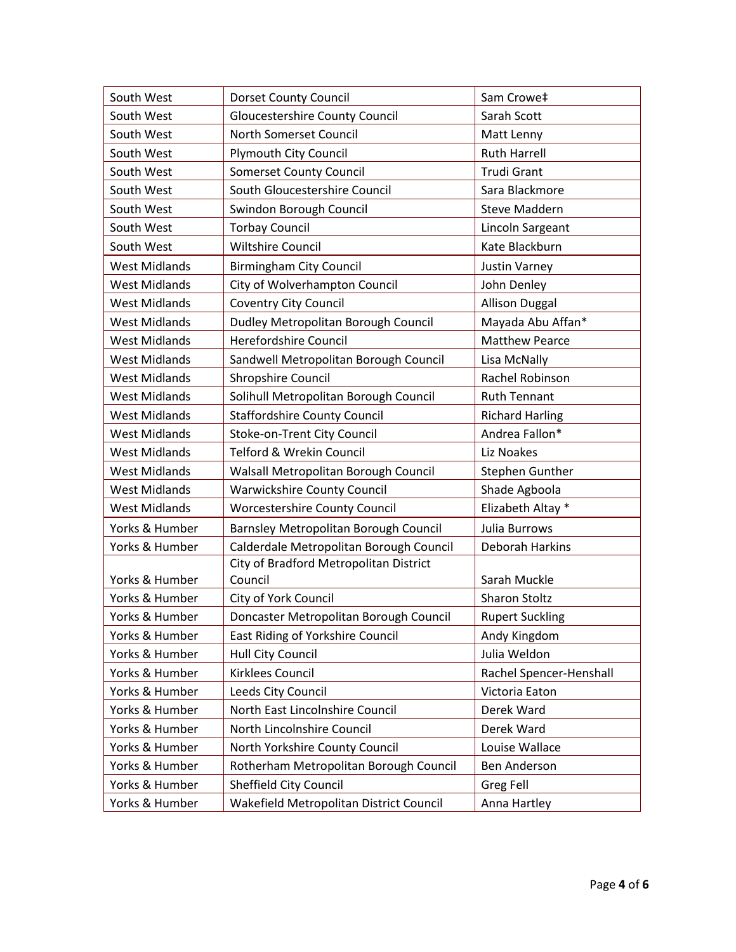| South West           | <b>Dorset County Council</b>            | Sam Crowe‡              |
|----------------------|-----------------------------------------|-------------------------|
| South West           | <b>Gloucestershire County Council</b>   | Sarah Scott             |
| South West           | North Somerset Council                  | Matt Lenny              |
| South West           | <b>Plymouth City Council</b>            | <b>Ruth Harrell</b>     |
| South West           | <b>Somerset County Council</b>          | <b>Trudi Grant</b>      |
| South West           | South Gloucestershire Council           | Sara Blackmore          |
| South West           | Swindon Borough Council                 | <b>Steve Maddern</b>    |
| South West           | <b>Torbay Council</b>                   | Lincoln Sargeant        |
| South West           | <b>Wiltshire Council</b>                | Kate Blackburn          |
| <b>West Midlands</b> | <b>Birmingham City Council</b>          | <b>Justin Varney</b>    |
| <b>West Midlands</b> | City of Wolverhampton Council           | John Denley             |
| <b>West Midlands</b> | <b>Coventry City Council</b>            | <b>Allison Duggal</b>   |
| <b>West Midlands</b> | Dudley Metropolitan Borough Council     | Mayada Abu Affan*       |
| <b>West Midlands</b> | Herefordshire Council                   | <b>Matthew Pearce</b>   |
| <b>West Midlands</b> | Sandwell Metropolitan Borough Council   | Lisa McNally            |
| <b>West Midlands</b> | Shropshire Council                      | Rachel Robinson         |
| <b>West Midlands</b> | Solihull Metropolitan Borough Council   | <b>Ruth Tennant</b>     |
| <b>West Midlands</b> | <b>Staffordshire County Council</b>     | <b>Richard Harling</b>  |
| <b>West Midlands</b> | Stoke-on-Trent City Council             | Andrea Fallon*          |
| <b>West Midlands</b> | Telford & Wrekin Council                | Liz Noakes              |
| <b>West Midlands</b> | Walsall Metropolitan Borough Council    | Stephen Gunther         |
| <b>West Midlands</b> | <b>Warwickshire County Council</b>      | Shade Agboola           |
| <b>West Midlands</b> | <b>Worcestershire County Council</b>    | Elizabeth Altay *       |
| Yorks & Humber       | Barnsley Metropolitan Borough Council   | Julia Burrows           |
| Yorks & Humber       | Calderdale Metropolitan Borough Council | Deborah Harkins         |
|                      | City of Bradford Metropolitan District  |                         |
| Yorks & Humber       | Council                                 | Sarah Muckle            |
| Yorks & Humber       | City of York Council                    | <b>Sharon Stoltz</b>    |
| Yorks & Humber       | Doncaster Metropolitan Borough Council  | <b>Rupert Suckling</b>  |
| Yorks & Humber       | East Riding of Yorkshire Council        | Andy Kingdom            |
| Yorks & Humber       | Hull City Council                       | Julia Weldon            |
| Yorks & Humber       | <b>Kirklees Council</b>                 | Rachel Spencer-Henshall |
| Yorks & Humber       | Leeds City Council                      | Victoria Eaton          |
| Yorks & Humber       | North East Lincolnshire Council         | Derek Ward              |
| Yorks & Humber       | North Lincolnshire Council              | Derek Ward              |
| Yorks & Humber       | North Yorkshire County Council          | Louise Wallace          |
| Yorks & Humber       | Rotherham Metropolitan Borough Council  | Ben Anderson            |
| Yorks & Humber       | Sheffield City Council                  | Greg Fell               |
| Yorks & Humber       | Wakefield Metropolitan District Council | Anna Hartley            |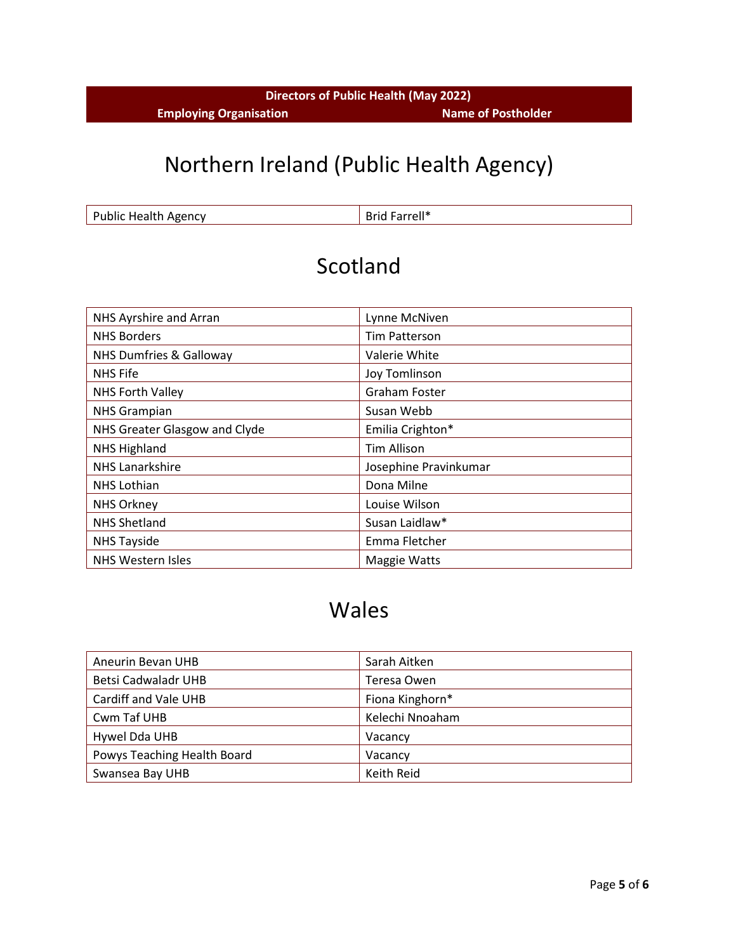#### **Directors of Public Health (May 2022) Employing Organisation Name of Postholder**

## Northern Ireland (Public Health Agency)

Public Health Agency **Brid Farrell\*** 

#### Scotland

| NHS Ayrshire and Arran             | Lynne McNiven         |
|------------------------------------|-----------------------|
| <b>NHS Borders</b>                 | <b>Tim Patterson</b>  |
| <b>NHS Dumfries &amp; Galloway</b> | Valerie White         |
| <b>NHS Fife</b>                    | Joy Tomlinson         |
| NHS Forth Valley                   | <b>Graham Foster</b>  |
| <b>NHS Grampian</b>                | Susan Webb            |
| NHS Greater Glasgow and Clyde      | Emilia Crighton*      |
| <b>NHS Highland</b>                | <b>Tim Allison</b>    |
| <b>NHS Lanarkshire</b>             | Josephine Pravinkumar |
| <b>NHS Lothian</b>                 | Dona Milne            |
| <b>NHS Orkney</b>                  | Louise Wilson         |
| <b>NHS Shetland</b>                | Susan Laidlaw*        |
| <b>NHS Tayside</b>                 | Emma Fletcher         |
| NHS Western Isles                  | <b>Maggie Watts</b>   |

#### Wales

| Aneurin Bevan UHB           | Sarah Aitken    |
|-----------------------------|-----------------|
| Betsi Cadwaladr UHB         | Teresa Owen     |
| Cardiff and Vale UHB        | Fiona Kinghorn* |
| Cwm Taf UHB                 | Kelechi Nnoaham |
| Hywel Dda UHB               | Vacancy         |
| Powys Teaching Health Board | Vacancy         |
| Swansea Bay UHB             | Keith Reid      |